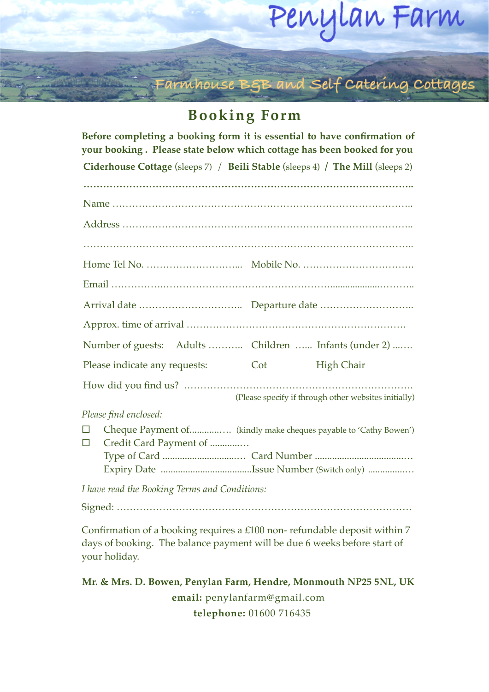## Penylan Farm **Terms & Conditions**

Farmhouse BSB and Self Catering Cottages

## **Booking Form**

| Before completing a booking form it is essential to have confirmation of<br>your booking. Please state below which cottage has been booked for you |     |                                                      |
|----------------------------------------------------------------------------------------------------------------------------------------------------|-----|------------------------------------------------------|
| Ciderhouse Cottage (sleeps 7) / Beili Stable (sleeps 4) / The Mill (sleeps 2)                                                                      |     |                                                      |
|                                                                                                                                                    |     |                                                      |
|                                                                                                                                                    |     |                                                      |
|                                                                                                                                                    |     |                                                      |
|                                                                                                                                                    |     |                                                      |
|                                                                                                                                                    |     |                                                      |
|                                                                                                                                                    |     |                                                      |
|                                                                                                                                                    |     |                                                      |
|                                                                                                                                                    |     |                                                      |
| Number of guests: Adults  Children  Infants (under 2)                                                                                              |     |                                                      |
| Please indicate any requests:                                                                                                                      | Cot | <b>High Chair</b>                                    |
|                                                                                                                                                    |     |                                                      |
|                                                                                                                                                    |     | (Please specify if through other websites initially) |
| Please find enclosed:                                                                                                                              |     |                                                      |
| Cheque Payment of (kindly make cheques payable to 'Cathy Bowen')<br>$\Box$<br>Credit Card Payment of<br>П                                          |     |                                                      |
|                                                                                                                                                    |     |                                                      |
| I have read the Booking Terms and Conditions:                                                                                                      |     |                                                      |
|                                                                                                                                                    |     |                                                      |

Confirmation of a booking requires a £100 non- refundable deposit within 7 days of booking. The balance payment will be due 6 weeks before start of your holiday.

## **Mr. & Mrs. D. Bowen, Penylan Farm, Hendre, Monmouth NP25 5NL, UK email:** [penylanfarm@gmail.com](mailto:penylanfarm@gmail.com) **telephone:** 01600 716435